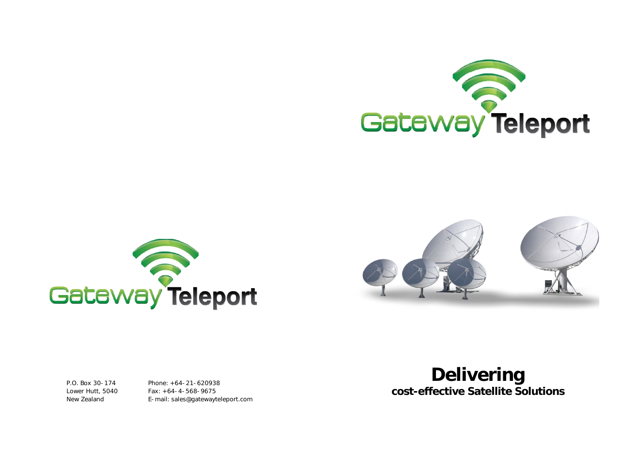





P.O. Box 30-174 Lower Hutt, 5040 New Zealand

Phone: +64-21-620938 Fax: +64-4-568-9675 E-mail: sales@gatewayteleport.com

# **Delivering cost-effective Satellite Solutions**